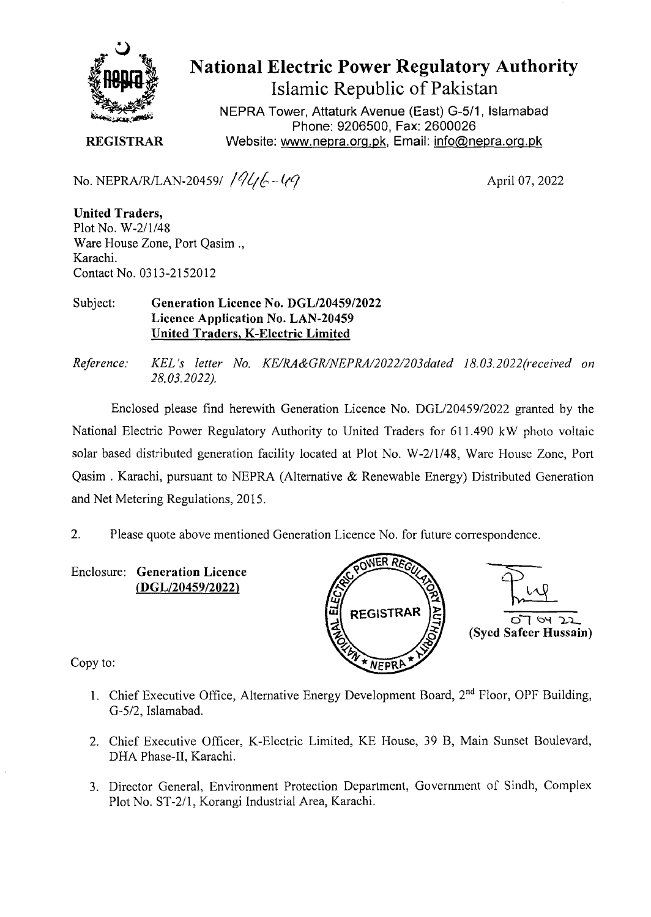

## National Electric Power Regulatory Authority Islamic Republic of Pakistan

NEPRA Tower, Attaturk Avenue (East) G-5/1, Islamabad Phone: 9206500, Fax: 2600026 Website: www.nepra.org.pk, Email: *info@nepra.org.pk* 

**REGISTRAR** 

No. NEPRA/R/LAN-20459/ $\frac{1}{4}$ 

April 07, 2022

**United Traders,**  Plot No. *W-2/1/48*  Ware House Zone, Port Qasim., Karachi. Contact No. 0313-2152012

## Subject: **Generation Licence No. DGL/20459/2022 Licence Application No. LAN-20459 United Traders, K-Electric Limited**

*Reference: KEL 's letter No. KE/RA&GK/NEPRA/2022/203da1ed 18.03. 2022(received on 28.03.2022).* 

Enclosed please find herewith Generation Licence No. DGL/20459/2022 granted by the National Electric Power Regulatory Authority to United Traders for 611.490 kW photo voltaic solar based distributed generation facility located at Plot No. W-2/1/48, Ware House Zone, Port Qasim . Karachi, pursuant to NEPRA (Alternative & Renewable Energy) Distributed Generation and Net Metering Regulations, 2015.

2. Please quote above mentioned Generation Licence No. for future correspondence.

Enclosure: **Generation Licence**  *(DGL120459/2022)* 



Copy to:

- 1. Chief Executive Office, Alternative Energy Development Board, 2<sup>nd</sup> Floor, OPF Building, G-5/2, Islamabad.
- 2. Chief Executive Officer, K-Electric Limited, KE House, 39 B, Main Sunset Boulevard, DHA Phase-Il, Karachi.
- 3. Director General, Environment Protection Department, Government of Sindh, Complex Plot No. ST-2/l, Korangi Industrial Area, Karachi.